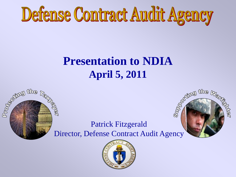

## **Presentation to NDIA April 5, 2011**



**Bally Reprinting for Section ASSET** Director, Defense Contract Audit Agency



Patrick Fitzgerald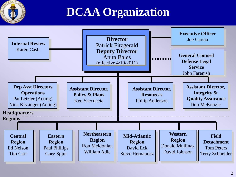

# **DCAA Organization**

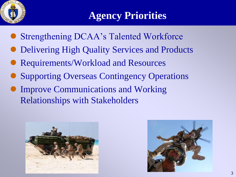

## **Agency Priorities**

- Strengthening DCAA's Talented Workforce
- Delivering High Quality Services and Products
- Requirements/Workload and Resources
- Supporting Overseas Contingency Operations
- Improve Communications and Working Relationships with Stakeholders



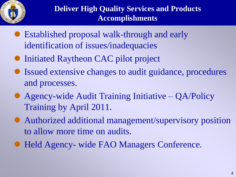

- Established proposal walk-through and early identification of issues/inadequacies
- Initiated Raytheon CAC pilot project
- Issued extensive changes to audit guidance, procedures and processes.
- Agency-wide Audit Training Initiative QA/Policy Training by April 2011.
- Authorized additional management/supervisory position to allow more time on audits.
- Held Agency- wide FAO Managers Conference.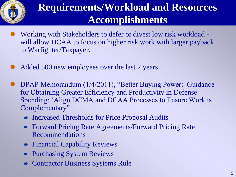

## **Requirements/Workload and Resources Accomplishments**

- Working with Stakeholders to defer or divest low risk workload will allow DCAA to focus on higher risk work with larger payback to Warfighter/Taxpayer.
- Added 500 new employees over the last 2 years
- DPAP Memorandum (1/4/2011), "Better Buying Power: Guidance for Obtaining Greater Efficiency and Productivity in Defense Spending: "Align DCMA and DCAA Processes to Ensure Work is Complementary"
	- **→** Increased Thresholds for Price Proposal Audits
	- Forward Pricing Rate Agreements/Forward Pricing Rate Recommendations
	- $\rightarrow$  Financial Capability Reviews
	- Purchasing System Reviews
	- Contractor Business Systems Rule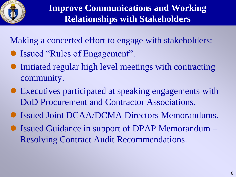

Making a concerted effort to engage with stakeholders:

- Issued "Rules of Engagement".
- Initiated regular high level meetings with contracting community.
- Executives participated at speaking engagements with DoD Procurement and Contractor Associations.
- Issued Joint DCAA/DCMA Directors Memorandums.
- Issued Guidance in support of DPAP Memorandum Resolving Contract Audit Recommendations.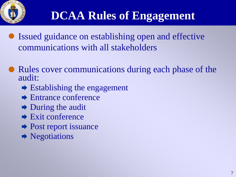

# **DCAA Rules of Engagement**

- Issued guidance on establishing open and effective communications with all stakeholders
- Rules cover communications during each phase of the audit:
	- $\rightarrow$  Establishing the engagement
	- **► Entrance conference**
	- $\rightarrow$  During the audit
	- $\rightarrow$  Exit conference
	- Post report issuance
	- Negotiations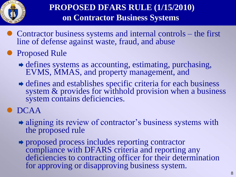

• Contractor business systems and internal controls – the first line of defense against waste, fraud, and abuse

#### **Proposed Rule**

- defines systems as accounting, estimating, purchasing, EVMS, MMAS, and property management, and
- defines and establishes specific criteria for each business system & provides for withhold provision when a business system contains deficiencies.

#### DCAA

- $\rightarrow$  aligning its review of contractor's business systems with the proposed rule
- proposed process includes reporting contractor compliance with DFARS criteria and reporting any deficiencies to contracting officer for their determination for approving or disapproving business system.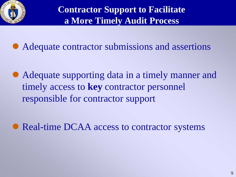

Adequate contractor submissions and assertions

 Adequate supporting data in a timely manner and timely access to **key** contractor personnel responsible for contractor support

• Real-time DCAA access to contractor systems